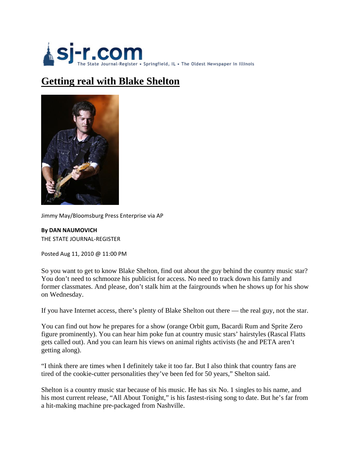

## **Getting real with Blake Shelton**



Jimmy May/Bloomsburg Press Enterprise via AP

**By DAN NAUMOVICH** THE STATE JOURNAL‐REGISTER

Posted Aug 11, 2010 @ 11:00 PM

So you want to get to know Blake Shelton, find out about the guy behind the country music star? You don't need to schmooze his publicist for access. No need to track down his family and former classmates. And please, don't stalk him at the fairgrounds when he shows up for his show on Wednesday.

If you have Internet access, there's plenty of Blake Shelton out there — the real guy, not the star.

You can find out how he prepares for a show (orange Orbit gum, Bacardi Rum and Sprite Zero figure prominently). You can hear him poke fun at country music stars' hairstyles (Rascal Flatts gets called out). And you can learn his views on animal rights activists (he and PETA aren't getting along).

"I think there are times when I definitely take it too far. But I also think that country fans are tired of the cookie-cutter personalities they've been fed for 50 years," Shelton said.

Shelton is a country music star because of his music. He has six No. 1 singles to his name, and his most current release, "All About Tonight," is his fastest-rising song to date. But he's far from a hit-making machine pre-packaged from Nashville.